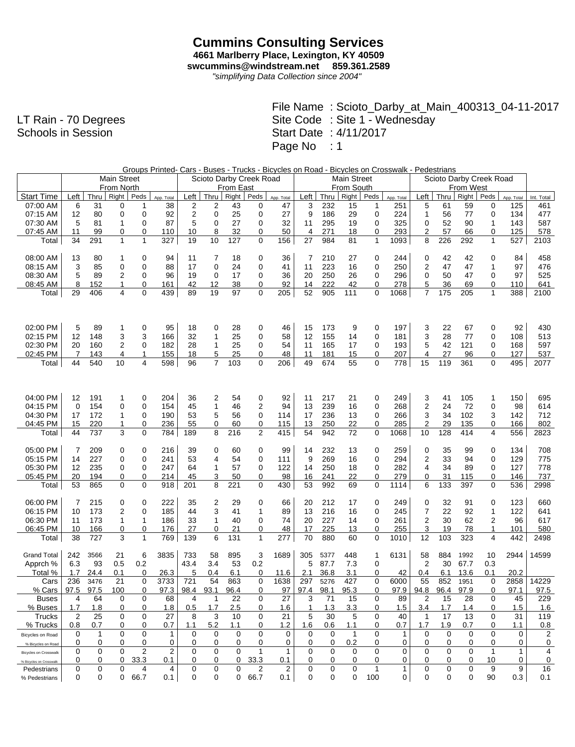## **Cummins Consulting Services 4661 Marlberry Place, Lexington, KY 40509 swcummins@windstream.net 859.361.2589**

*"simplifying Data Collection since 2004"*

LT Rain - 70 Degrees Schools in Session

| Groups Printed- Cars - Buses - Trucks - Bicycles on Road - Bicycles on Crosswalk - Pedestrians |  |  |  |
|------------------------------------------------------------------------------------------------|--|--|--|
|                                                                                                |  |  |  |

|                                                    |          |            | Main Street       |        |            | Scioto Darby Creek Road |                |                  |             |            |                | <b>Main Street</b> |              |              |             |                |           | Scioto Darby Creek Road<br>From West |                     |            |                |  |  |
|----------------------------------------------------|----------|------------|-------------------|--------|------------|-------------------------|----------------|------------------|-------------|------------|----------------|--------------------|--------------|--------------|-------------|----------------|-----------|--------------------------------------|---------------------|------------|----------------|--|--|
|                                                    |          |            | From North        |        |            |                         |                | <b>From East</b> |             |            |                |                    | From South   |              |             |                |           |                                      |                     |            |                |  |  |
| <b>Start Time</b>                                  | Left     | Thru       | Right             | Peds   | App. Total | Left                    | Thru           | <b>Right</b>     | Peds        | App. Total | Left           | Thru               | Right        | Peds         | App. Total  | Left           | Thru      | Right                                | Peds                | App. Total | Int. Total     |  |  |
| 07:00 AM                                           | 6        | 31         | 0                 | 1      | 38         | 2                       | 2              | 43               | 0           | 47         | 3              | 232                | 15           | 1            | 251         | 5              | 61        | 59                                   | 0                   | 125        | 461            |  |  |
| 07:15 AM                                           | 12       | 80         | 0                 | 0      | 92         | $\overline{c}$          | $\mathbf 0$    | 25               | 0           | 27         | 9              | 186                | 29           | 0            | 224         | 1              | 56        | 77                                   | $\mathbf 0$         | 134        | 477            |  |  |
| 07:30 AM                                           | 5        | 81         | 1                 | 0      | 87         | 5                       | $\mathbf 0$    | 27               | 0           | 32         | 11             | 295                | 19           | 0            | 325         | $\mathbf 0$    | 52        | 90                                   | 1                   | 143        | 587            |  |  |
| 07:45 AM                                           | 11<br>34 | 99         | 0<br>$\mathbf{1}$ | 0<br>1 | 110<br>327 | 10<br>19                | 8<br>10        | 32<br>127        | 0           | 50         | $\overline{4}$ | 271<br>984         | 18           | 0            | 293         | 2              | 57        | 66                                   | 0                   | 125<br>527 | 578            |  |  |
| Total                                              |          | 291        |                   |        |            |                         |                |                  | 0           | 156        | 27             |                    | 81           | $\mathbf{1}$ | 1093        | 8              | 226       | 292                                  | $\mathbf{1}$        |            | 2103           |  |  |
| 08:00 AM                                           | 13       | 80         | 1                 | 0      | 94         | 11                      | 7              | 18               | 0           | 36         | 7              | 210                | 27           | 0            | 244         | 0              | 42        | 42                                   | 0                   | 84         | 458            |  |  |
| 08:15 AM                                           | 3        | 85         | 0                 | 0      | 88         | 17                      | 0              | 24               | $\mathbf 0$ | 41         | 11             | 223                | 16           | 0            | 250         | 2              | 47        | 47                                   | $\mathbf{1}$        | 97         | 476            |  |  |
| 08:30 AM                                           | 5        | 89         | $\overline{2}$    | 0      | 96         | 19                      | 0              | 17               | 0           | 36         | 20             | 250                | 26           | 0            | 296         | $\mathbf 0$    | 50        | 47                                   | 0                   | 97         | 525            |  |  |
| 08:45 AM                                           | 8        | 152        | 1                 | 0      | 161        | 42                      | 12             | 38               | 0           | 92         | 14             | 222                | 42           | 0            | 278         | 5              | 36        | 69                                   | 0                   | 110        | 641            |  |  |
| Total                                              | 29       | 406        | 4                 | 0      | 439        | 89                      | 19             | 97               | 0           | 205        | 52             | 905                | 111          | 0            | 1068        | $\overline{7}$ | 175       | 205                                  | 1                   | 388        | 2100           |  |  |
|                                                    |          |            |                   |        |            |                         |                |                  |             |            |                |                    |              |              |             |                |           |                                      |                     |            |                |  |  |
|                                                    |          |            |                   |        |            |                         |                |                  |             |            |                |                    |              |              |             |                |           |                                      |                     |            |                |  |  |
|                                                    |          |            |                   |        |            |                         |                |                  |             |            |                |                    |              |              |             |                |           |                                      |                     |            |                |  |  |
| 02:00 PM                                           | 5        | 89         | 1                 | 0      | 95         | 18                      | 0              | 28               | 0           | 46         | 15             | 173                | 9            | 0            | 197         | 3              | 22        | 67                                   | 0                   | 92         | 430            |  |  |
| 02:15 PM                                           | 12       | 148        | 3                 | 3      | 166        | 32                      | 1              | 25               | 0           | 58         | 12             | 155                | 14           | 0            | 181         | 3              | 28        | 77                                   | 0                   | 108        | 513            |  |  |
| 02:30 PM                                           | 20       | 160        | 2                 | 0      | 182        | 28                      | 1              | 25               | 0           | 54         | 11             | 165                | 17           | 0            | 193         | 5              | 42        | 121                                  | 0                   | 168        | 597            |  |  |
| 02:45 PM                                           | 7        | 143        | 4                 | 1      | 155        | 18                      | 5              | 25               | 0           | 48         | 11             | 181                | 15           | 0            | 207         | 4              | 27        | 96                                   | 0                   | 127        | 537            |  |  |
| Total                                              | 44       | 540        | 10                | 4      | 598        | 96                      | $\overline{7}$ | 103              | 0           | 206        | 49             | 674                | 55           | $\mathbf 0$  | 778         | 15             | 119       | 361                                  | $\mathbf 0$         | 495        | 2077           |  |  |
|                                                    |          |            |                   |        |            |                         |                |                  |             |            |                |                    |              |              |             |                |           |                                      |                     |            |                |  |  |
|                                                    |          |            |                   |        |            |                         |                |                  |             |            |                |                    |              |              |             |                |           |                                      |                     |            |                |  |  |
|                                                    |          |            |                   |        |            |                         |                |                  |             |            |                |                    |              |              |             |                |           |                                      |                     |            |                |  |  |
| 04:00 PM                                           | 12       | 191        | 1                 | 0      | 204        | 36                      | 2              | 54               | 0           | 92         | 11             | 217                | 21           | 0            | 249         | 3              | 41        | 105                                  | 1                   | 150        | 695            |  |  |
| 04:15 PM                                           | 0        | 154        | 0                 | 0      | 154        | 45                      | 1              | 46               | 2           | 94         | 13             | 239                | 16           | 0            | 268         | 2              | 24        | 72                                   | 0                   | 98         | 614            |  |  |
| 04:30 PM                                           | 17       | 172        | 1                 | 0      | 190        | 53<br>55                | 5              | 56               | 0           | 114        | 17             | 236                | 13           | 0            | 266<br>285  | 3              | 34<br>29  | 102<br>135                           | 3                   | 142        | 712            |  |  |
| 04:45 PM                                           | 15<br>44 | 220<br>737 | 1<br>3            | 0<br>0 | 236<br>784 | 189                     | 0<br>8         | 60<br>216        | 0<br>2      | 115<br>415 | 13<br>54       | 250<br>942         | 22<br>72     | 0<br>0       | 1068        | 2<br>10        | 128       | 414                                  | 0<br>$\overline{4}$ | 166<br>556 | 802<br>2823    |  |  |
| Total                                              |          |            |                   |        |            |                         |                |                  |             |            |                |                    |              |              |             |                |           |                                      |                     |            |                |  |  |
| 05:00 PM                                           | 7        | 209        | 0                 | 0      | 216        | 39                      | 0              | 60               | 0           | 99         | 14             | 232                | 13           | 0            | 259         | 0              | 35        | 99                                   | 0                   | 134        | 708            |  |  |
| 05:15 PM                                           | 14       | 227        | 0                 | 0      | 241        | 53                      | 4              | 54               | 0           | 111        | 9              | 269                | 16           | 0            | 294         | 2              | 33        | 94                                   | 0                   | 129        | 775            |  |  |
| 05:30 PM                                           | 12       | 235        | 0                 | 0      | 247        | 64                      | $\mathbf{1}$   | 57               | $\mathbf 0$ | 122        | 14             | 250                | 18           | 0            | 282         | 4              | 34        | 89                                   | 0                   | 127        | 778            |  |  |
| 05:45 PM                                           | 20       | 194        | 0                 | 0      | 214        | 45                      | 3              | 50               | 0           | 98         | 16             | 241                | 22           | 0            | 279         | 0              | 31        | 115                                  | 0                   | 146        | 737            |  |  |
| Total                                              | 53       | 865        | 0                 | 0      | 918        | 201                     | 8              | 221              | 0           | 430        | 53             | 992                | 69           | 0            | 1114        | 6              | 133       | 397                                  | 0                   | 536        | 2998           |  |  |
|                                                    |          |            |                   |        |            |                         |                |                  |             |            |                |                    |              |              |             |                |           |                                      |                     |            |                |  |  |
| 06:00 PM                                           | 7        | 215        | 0                 | 0      | 222        | 35                      | 2              | 29               | 0           | 66         | 20             | 212                | 17           | 0            | 249         | 0              | 32        | 91                                   | 0                   | 123        | 660            |  |  |
| 06:15 PM                                           | 10       | 173        | 2                 | 0      | 185        | 44                      | 3              | 41               | 1           | 89         | 13             | 216                | 16           | 0            | 245         | 7              | 22        | 92                                   | 1                   | 122        | 641            |  |  |
| 06:30 PM                                           | 11       | 173        | 1                 | 1      | 186        | 33                      | 1              | 40               | 0           | 74         | 20             | 227                | 14           | 0            | 261         | 2              | 30        | 62                                   | $\overline{2}$      | 96         | 617            |  |  |
| 06:45 PM                                           | 10       | 166        | 0                 | 0      | 176        | 27                      | 0              | 21               | 0           | 48         | 17             | 225                | 13           | 0            | 255         | 3              | 19        | 78                                   | $\mathbf{1}$        | 101        | 580            |  |  |
| Total                                              | 38       | 727        | 3                 | 1      | 769        | 139                     | 6              | 131              | 1           | 277        | 70             | 880                | 60           | 0            | 1010        | 12             | 103       | 323                                  | 4                   | 442        | 2498           |  |  |
|                                                    |          |            |                   |        |            |                         |                |                  |             |            |                |                    |              |              |             |                |           |                                      |                     |            |                |  |  |
| <b>Grand Total</b>                                 | 242      | 3566       | 21                | 6      | 3835       | 733                     | 58             | 895              | 3           | 1689       | 305            | 5377               | 448          | 1            | 6131        | 58             | 884       | 1992                                 | 10                  | 2944       | 14599          |  |  |
| Apprch %                                           | 6.3      | 93         | 0.5               | 0.2    |            | 43.4                    | 3.4            | 53               | 0.2         |            | 5              | 87.7               | 7.3          | 0            |             | $\overline{2}$ | 30        | 67.7                                 | 0.3                 |            |                |  |  |
| Total %                                            | 1.7      | 24.4       | 0.1               | 0      | 26.3       | 5                       | 0.4            | 6.1              | 0           | 11.6       | 2.1            | 36.8               | 3.1          | 0            | 42          | 0.4            | 6.1       | 13.6                                 | 0.1                 | 20.2       |                |  |  |
| Cars                                               | 236      | 3476       | 21                | 0      | 3733       | 721                     | 54             | 863              | $\mathbf 0$ | 1638       | 297            | 5276               | 427          | 0            | 6000        | 55             | 852       | 1951                                 | 0                   | 2858       | 14229          |  |  |
| % Cars                                             | 97.5     | 97.5       | 100               | 0      | 97.3       | 98.4                    | 93.1           | 96.4             | 0           | 97         | 97.4           | 98.1               | 95.3         | 0            | 97.9        | 94.8           | 96.4      | 97.9                                 | $\mathbf 0$         | 97.1       | 97.5           |  |  |
| <b>Buses</b>                                       | 4        | 64         | 0                 | 0      | 68         | 4                       | $\mathbf{1}$   | 22               | 0           | 27         | 3              | 71                 | 15           | 0            | 89          | 2              | 15        | 28                                   | 0                   | 45         | 229            |  |  |
| % Buses                                            | 1.7      | 1.8        | 0                 | 0      | 1.8        | 0.5                     | 1.7            | 2.5              | 0           | 1.6        | 1              | 1.3                | 3.3          | 0            | 1.5         | 3.4            | 1.7       | 1.4                                  | $\mathbf 0$         | 1.5        | 1.6            |  |  |
| Trucks<br>% Trucks                                 | 2<br>0.8 | 25<br>0.7  | 0<br>0            | 0<br>0 | 27<br>0.7  | 8<br>1.1                | 3<br>5.2       | 10<br>1.1        | 0<br>0      | 21<br>1.2  | 5<br>1.6       | 30                 | 5<br>1.1     | 0<br>0       | 40<br>0.7   | -1<br>1.7      | 17<br>1.9 | 13<br>0.7                            | 0<br>0              | 31<br>1.1  | 119<br>$0.8\,$ |  |  |
|                                                    | 0        | -1         | 0                 | 0      | -1         | 0                       | 0              | 0                | 0           | 0          | 0              | 0.6<br>0           | $\mathbf{1}$ | 0            | -1          | 0              | 0         | 0                                    | 0                   | 0          | 2              |  |  |
| Bicycles on Road                                   | 0        | 0          | 0                 | 0      | 0          | 0                       | 0              | 0                | 0           | 0          | 0              | 0                  | 0.2          | 0            | 0           | 0              | 0         | 0                                    | 0                   | 0          | 0              |  |  |
| % Bicycles on Road<br><b>Bicycles on Crosswalk</b> | 0        | 0          | 0                 | 2      | 2          | 0                       | 0              | 0                | 1           | 1          | 0              | 0                  | 0            | 0            | 0           | 0              | 0         | 0                                    | $\mathbf{1}$        | 1          | 4              |  |  |
| % Bicycles on Crosswalk                            | 0        | 0          | 0                 | 33.3   | 0.1        | 0                       | 0              | 0                | 33.3        | 0.1        | 0              | 0                  | 0            | 0            | 0           | 0              | 0         | 0                                    | 10                  | 0          | 0              |  |  |
| Pedestrians                                        | 0        | 0          | 0                 | 4      | 4          | 0                       | 0              | 0                | 2           | 2          | 0              | 0                  | 0            | $\mathbf{1}$ | $\mathbf 1$ | 0              | 0         | 0                                    | 9                   | 9          | 16             |  |  |
| % Pedestrians                                      | 0        | 0          |                   | 0 66.7 | 0.1        | 0                       | 0              |                  | 0 66.7      | 0.1        | 0              | 0                  | 0            | 100          | 0           | 0              | 0         | 0                                    | 90                  | 0.3        | 0.1            |  |  |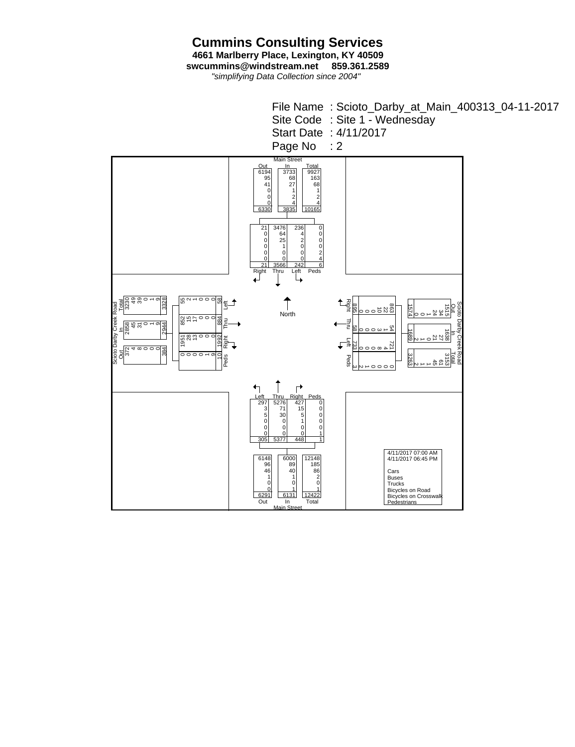**Cummins Consulting Services 4661 Marlberry Place, Lexington, KY 40509 swcummins@windstream.net 859.361.2589**

*"simplifying Data Collection since 2004"*

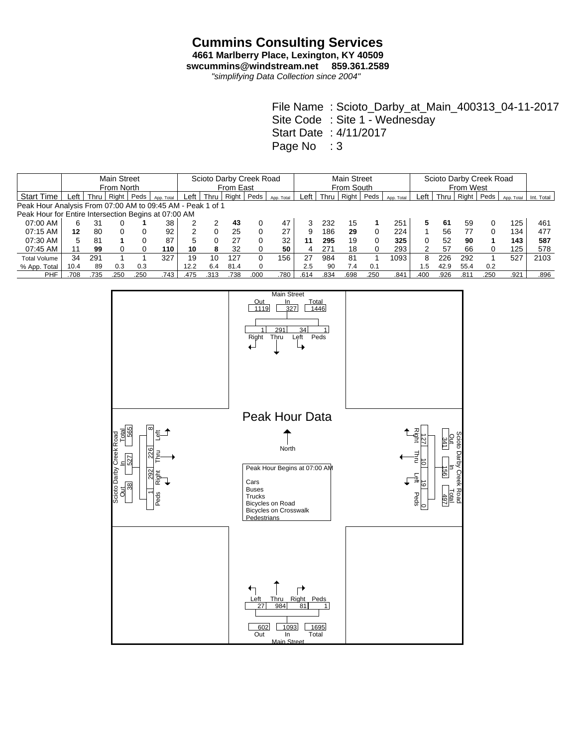## **Cummins Consulting Services 4661 Marlberry Place, Lexington, KY 40509**

**swcummins@windstream.net 859.361.2589**

*"simplifying Data Collection since 2004"*

|                                                            |      |      | <b>Main Street</b> |      |            | Scioto Darby Creek Road |      |       |          |            |      | <b>Main Street</b> |       |      |            |               |        | Scioto Darby Creek Road |      |            |            |  |  |  |
|------------------------------------------------------------|------|------|--------------------|------|------------|-------------------------|------|-------|----------|------------|------|--------------------|-------|------|------------|---------------|--------|-------------------------|------|------------|------------|--|--|--|
|                                                            |      |      | From North         |      |            | From East               |      |       |          |            |      | From South         |       |      |            |               |        | From West               |      |            |            |  |  |  |
| <b>Start Time</b>                                          | Left | Thru | Right              | Peds | App. Total | Left                    | Thru | Right | Peds     | App. Total | Left | Thru               | Right | Peds | App. Total | Left          | Thru I | Right                   | Peds | App. Total | Int. Total |  |  |  |
| Peak Hour Analysis From 07:00 AM to 09:45 AM - Peak 1 of 1 |      |      |                    |      |            |                         |      |       |          |            |      |                    |       |      |            |               |        |                         |      |            |            |  |  |  |
| Peak Hour for Entire Intersection Begins at 07:00 AM       |      |      |                    |      |            |                         |      |       |          |            |      |                    |       |      |            |               |        |                         |      |            |            |  |  |  |
| 07:00 AM                                                   | 6    | 31   |                    |      | 38         |                         |      | 43    | 0        | 47         |      | 232                | 15    |      | 251        | 5             | 61     | 59                      |      | 125        | 461        |  |  |  |
| 07:15 AM                                                   | 12   | 80   | $\Omega$           |      | 92         |                         |      | 25    | 0        | 27         | 9    | 186                | 29    | 0    | 224        |               | 56     | 77                      |      | 134        | 477        |  |  |  |
| 07:30 AM                                                   | 5    | 81   |                    |      | 87         | 5                       |      | 27    | 0        | 32         | 11   | 295                | 19    | 0    | 325        |               | 52     | 90                      |      | 143        | 587        |  |  |  |
| 07:45 AM                                                   | 11   | 99   |                    |      | 110        | 10                      | 8    | 32    | 0        | 50         | 4    | 271                | 18    | 0    | 293        | $\mathcal{P}$ | 57     | 66                      |      | 125        | 578        |  |  |  |
| <b>Total Volume</b>                                        | 34   | 291  |                    |      | 327        | 19                      | 10   | 127   | 0        | 156        | 27   | 984                | 81    |      | 1093       | 8             | 226    | 292                     |      | 527        | 2103       |  |  |  |
| % App. Total                                               | 10.4 | 89   | 0.3                | 0.3  |            | 12.2                    | 6.4  | 81.4  | $\Omega$ |            | 2.5  | 90                 | 7.4   | 0.1  |            | 5.،           | 42.9   | 55.4                    | 0.2  |            |            |  |  |  |
| PHF                                                        | 708  | 735  | .250               | .250 | 743.       | .475                    | .313 | .738  | .000     | 780        | .614 | .834               | .698  | .250 | .841       | .400          | .926   | .811                    | .250 | .921       | .896       |  |  |  |

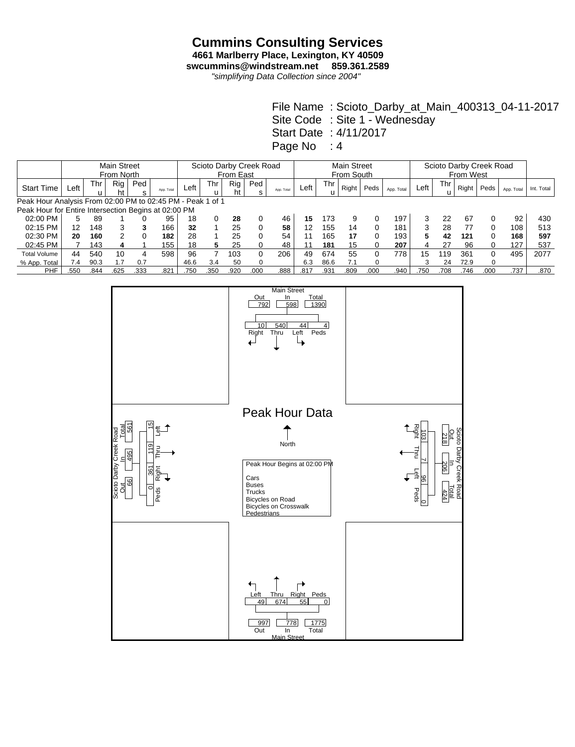## **Cummins Consulting Services 4661 Marlberry Place, Lexington, KY 40509**

**swcummins@windstream.net 859.361.2589**

*"simplifying Data Collection since 2004"*

|                                                            |        |      | <b>Main Street</b><br>From North |          |            | Scioto Darby Creek Road<br>From East |      |           |          |            |      | <b>Main Street</b><br>From South |       |          |            |      |          | Scioto Darby Creek Road<br>From West |          |            |            |  |  |
|------------------------------------------------------------|--------|------|----------------------------------|----------|------------|--------------------------------------|------|-----------|----------|------------|------|----------------------------------|-------|----------|------------|------|----------|--------------------------------------|----------|------------|------------|--|--|
| <b>Start Time</b>                                          | ∟eft ˈ | Thr  | Rig<br>ht                        | Ped<br>s | App. Total | ∟eft                                 | Thr  | Rig<br>ht | Ped<br>s | App. Total | Left | Thr<br>u                         | Right | Peds     | App. Total | Left | Thr<br>u | Right                                | Peds     | App. Total | Int. Total |  |  |
| Peak Hour Analysis From 02:00 PM to 02:45 PM - Peak 1 of 1 |        |      |                                  |          |            |                                      |      |           |          |            |      |                                  |       |          |            |      |          |                                      |          |            |            |  |  |
| Peak Hour for Entire Intersection Begins at 02:00 PM       |        |      |                                  |          |            |                                      |      |           |          |            |      |                                  |       |          |            |      |          |                                      |          |            |            |  |  |
| 02:00 PM                                                   | 5      | 89   |                                  |          | 95         | 18                                   |      | 28        |          | 46         | 15   | 173                              |       |          | 197        |      | 22       | 67                                   |          | 92         | 430        |  |  |
| 02:15 PM                                                   | 12     | 148  | 3                                | 3        | 166        | 32                                   |      | 25        | $\Omega$ | 58         | 12   | 155                              | 14    | 0        | 181        | 3    | 28       | 77                                   |          | 108        | 513        |  |  |
| 02:30 PM                                                   | 20     | 160  | $\mathcal{P}$                    |          | 182        | 28                                   |      | 25        | 0        | 54         |      | 165                              | 17    | 0        | 193        |      | 42       | 121                                  | 0        | 168        | 597        |  |  |
| 02:45 PM                                                   |        | 143  |                                  |          | 155        | 18                                   | 5    | 25        | 0        | 48         |      | 181                              | 15    | 0        | 207        | 4    | 27       | 96                                   |          | 127        | 537        |  |  |
| <b>Total Volume</b>                                        | 44     | 540  | 10                               | 4        | 598        | 96                                   |      | 103       | 0        | 206        | 49   | 674                              | 55    | 0        | 778        | 15   | 119      | 361                                  | $\Omega$ | 495        | 2077       |  |  |
| % App. Total                                               | 7.4    | 90.3 | 1.7                              | 0.7      |            | 46.6                                 | 3.4  | 50        |          |            | 6.3  | 86.6                             | 7.1   | $\Omega$ |            |      | 24       | 72.9                                 | $\Omega$ |            |            |  |  |
| <b>PHF</b>                                                 | 550    | .844 | .625                             | .333     | .821       | .750                                 | .350 | .920      | .000     | .888       | .817 | .931                             | .809  | .000     | .940       | .750 | .708     | .746                                 | .000     | .737       | .870       |  |  |